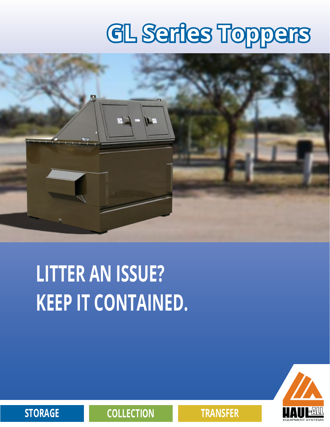# **GL Series Toppers**



## **LITTER AN ISSUE? KEEP IT CONTAINED.**



**STORAGE COLLECTION TRANSFER**